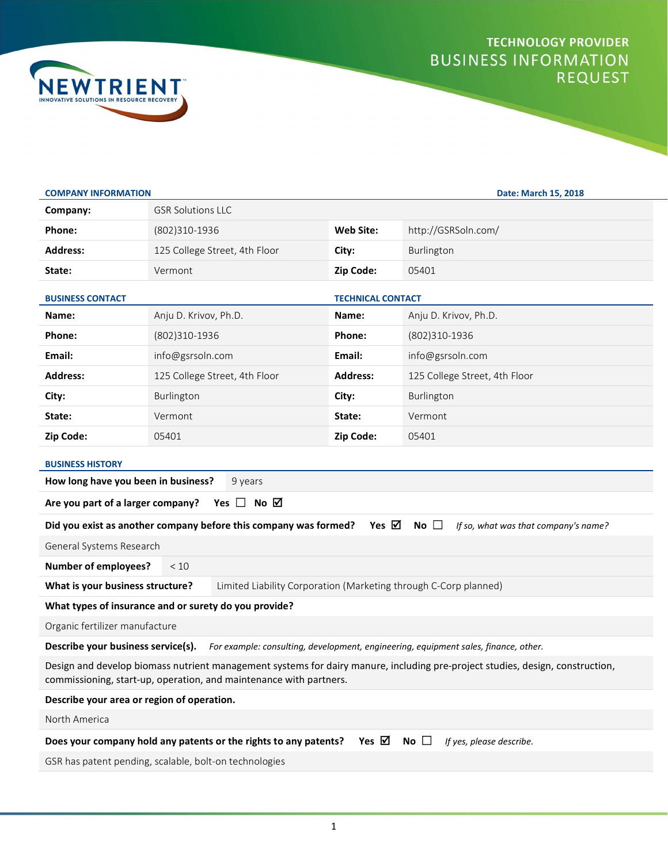



| <b>COMPANY INFORMATION</b>                                                                                                                                                                          |                               |                          | Date: March 15, 2018          |
|-----------------------------------------------------------------------------------------------------------------------------------------------------------------------------------------------------|-------------------------------|--------------------------|-------------------------------|
| Company:                                                                                                                                                                                            | <b>GSR Solutions LLC</b>      |                          |                               |
| Phone:                                                                                                                                                                                              | (802)310-1936                 | <b>Web Site:</b>         | http://GSRSoln.com/           |
| <b>Address:</b>                                                                                                                                                                                     | 125 College Street, 4th Floor | City:                    | Burlington                    |
| State:                                                                                                                                                                                              | Vermont                       | Zip Code:                | 05401                         |
| <b>BUSINESS CONTACT</b>                                                                                                                                                                             |                               | <b>TECHNICAL CONTACT</b> |                               |
| Name:                                                                                                                                                                                               | Anju D. Krivov, Ph.D.         | Name:                    | Anju D. Krivov, Ph.D.         |
| Phone:                                                                                                                                                                                              | (802)310-1936                 | Phone:                   | (802)310-1936                 |
| Email:                                                                                                                                                                                              | info@gsrsoln.com              | Email:                   | info@gsrsoln.com              |
| <b>Address:</b>                                                                                                                                                                                     | 125 College Street, 4th Floor | <b>Address:</b>          | 125 College Street, 4th Floor |
| City:                                                                                                                                                                                               | Burlington                    | City:                    | Burlington                    |
| State:                                                                                                                                                                                              | Vermont                       | State:                   | Vermont                       |
| Zip Code:                                                                                                                                                                                           | 05401                         | Zip Code:                | 05401                         |
| <b>BUSINESS HISTORY</b><br>How long have you been in business?<br>9 years                                                                                                                           |                               |                          |                               |
| Yes $\Box$ No $\Box$<br>Are you part of a larger company?                                                                                                                                           |                               |                          |                               |
| Yes ⊠<br>Did you exist as another company before this company was formed?<br>$No$ $\Box$<br>If so, what was that company's name?                                                                    |                               |                          |                               |
| General Systems Research                                                                                                                                                                            |                               |                          |                               |
| <b>Number of employees?</b>                                                                                                                                                                         | < 10                          |                          |                               |
| What is your business structure?<br>Limited Liability Corporation (Marketing through C-Corp planned)                                                                                                |                               |                          |                               |
| What types of insurance and or surety do you provide?                                                                                                                                               |                               |                          |                               |
| Organic fertilizer manufacture                                                                                                                                                                      |                               |                          |                               |
| Describe your business service(s). For example: consulting, development, engineering, equipment sales, finance, other.                                                                              |                               |                          |                               |
| Design and develop biomass nutrient management systems for dairy manure, including pre-project studies, design, construction,<br>commissioning, start-up, operation, and maintenance with partners. |                               |                          |                               |
| Describe your area or region of operation.                                                                                                                                                          |                               |                          |                               |
| North America                                                                                                                                                                                       |                               |                          |                               |
| Does your company hold any patents or the rights to any patents?<br>Yes $\boxtimes$<br>No $\square$<br>If yes, please describe.                                                                     |                               |                          |                               |
| GSR has patent pending, scalable, bolt-on technologies                                                                                                                                              |                               |                          |                               |
|                                                                                                                                                                                                     |                               |                          |                               |